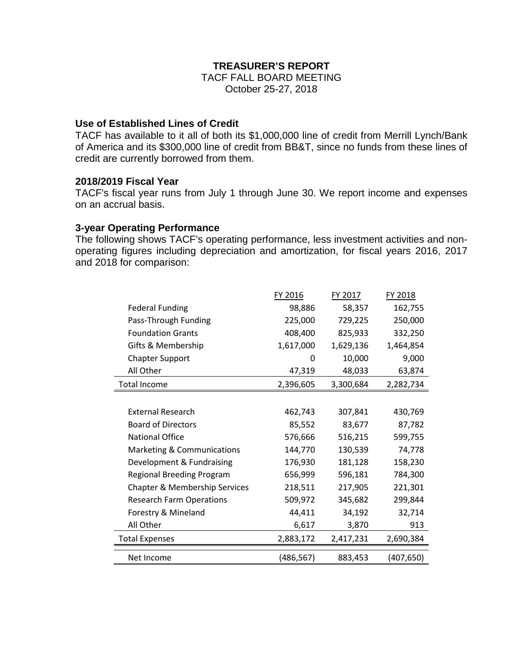## **TREASURER'S REPORT**

TACF FALL BOARD MEETING October 25-27, 2018

### **Use of Established Lines of Credit**

TACF has available to it all of both its \$1,000,000 line of credit from Merrill Lynch/Bank of America and its \$300,000 line of credit from BB&T, since no funds from these lines of credit are currently borrowed from them.

#### **2018/2019 Fiscal Year**

TACF's fiscal year runs from July 1 through June 30. We report income and expenses on an accrual basis.

#### **3-year Operating Performance**

The following shows TACF's operating performance, less investment activities and nonoperating figures including depreciation and amortization, for fiscal years 2016, 2017 and 2018 for comparison:

|                                  | FY 2016<br>FY 2017 |           | FY 2018    |
|----------------------------------|--------------------|-----------|------------|
| <b>Federal Funding</b>           | 98,886             | 58,357    | 162,755    |
| Pass-Through Funding             | 225,000            | 729,225   | 250,000    |
| <b>Foundation Grants</b>         | 408,400            | 825,933   | 332,250    |
| Gifts & Membership               | 1,617,000          | 1,629,136 | 1,464,854  |
| <b>Chapter Support</b>           | 0                  | 10,000    | 9,000      |
| All Other                        | 47,319             | 48,033    | 63,874     |
| <b>Total Income</b>              | 2,396,605          | 3,300,684 | 2,282,734  |
|                                  |                    |           |            |
| <b>External Research</b>         | 462,743            | 307,841   | 430,769    |
| <b>Board of Directors</b>        | 85,552             | 83,677    | 87,782     |
| <b>National Office</b>           | 576,666            | 516,215   | 599,755    |
| Marketing & Communications       | 144,770            | 130,539   | 74,778     |
| Development & Fundraising        | 176,930            | 181,128   | 158,230    |
| <b>Regional Breeding Program</b> | 656,999            | 596,181   | 784,300    |
| Chapter & Membership Services    | 218,511            | 217,905   | 221,301    |
| <b>Research Farm Operations</b>  | 509,972            | 345,682   | 299,844    |
| Forestry & Mineland              | 44,411             | 34,192    | 32,714     |
| All Other                        | 6,617              | 3,870     | 913        |
| <b>Total Expenses</b>            | 2,883,172          | 2,417,231 | 2,690,384  |
| Net Income                       | (486,567)          | 883,453   | (407, 650) |